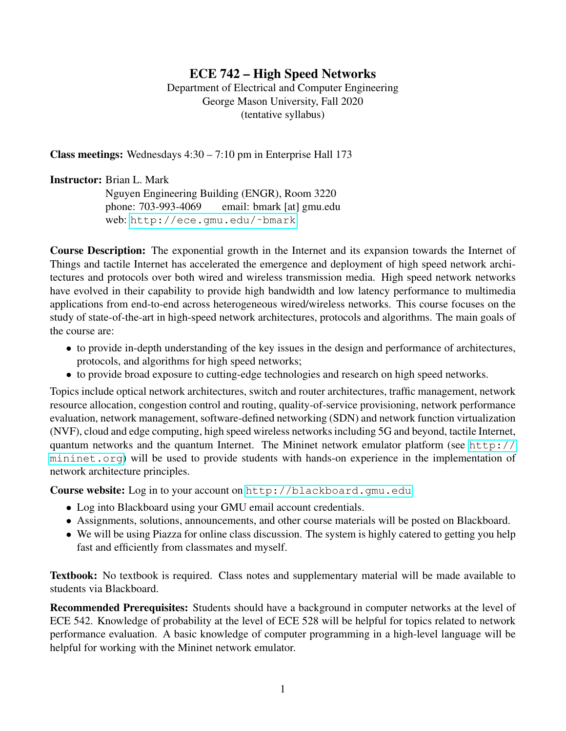# ECE 742 – High Speed Networks

Department of Electrical and Computer Engineering George Mason University, Fall 2020 (tentative syllabus)

Class meetings: Wednesdays 4:30 – 7:10 pm in Enterprise Hall 173

## Instructor: Brian L. Mark

Nguyen Engineering Building (ENGR), Room 3220 phone: 703-993-4069 email: bmark [at] gmu.edu web: http://ece.gmu.edu/~bmark

Course Description: The exponential growth in the Internet and its expansion towards the Internet of Things and tactile Internet has accelerated the emergence and deployment of high speed network architectures and protocols over both wired and wireless transmission media. High speed network networks have evolved in their capability to provide high bandwidth and low latency performance to multimedia applications from end-to-end across heterogeneous wired/wireless networks. This course focuses on the study of state-of-the-art in high-speed network architectures, protocols and algorithms. The main goals of the course are:

- to provide in-depth understanding of the key issues in the design and performance of architectures, protocols, and algorithms for high speed networks;
- to provide broad exposure to cutting-edge technologies and research on high speed networks.

Topics include optical network architectures, switch and router architectures, traffic management, network resource allocation, congestion control and routing, quality-of-service provisioning, network performance evaluation, network management, software-defined networking (SDN) and network function virtualization (NVF), cloud and edge computing, high speed wireless networks including 5G and beyond, tactile Internet, quantum networks and the quantum Internet. The Mininet network emulator platform (see  $h_{\text{t}}(t)$ ) [mininet.org](http://mininet.org)) will be used to provide students with hands-on experience in the implementation of network architecture principles.

**Course website:** Log in to your account on <http://blackboard.gmu.edu>

- Log into Blackboard using your GMU email account credentials.
- Assignments, solutions, announcements, and other course materials will be posted on Blackboard.
- We will be using Piazza for online class discussion. The system is highly catered to getting you help fast and efficiently from classmates and myself.

Textbook: No textbook is required. Class notes and supplementary material will be made available to students via Blackboard.

Recommended Prerequisites: Students should have a background in computer networks at the level of ECE 542. Knowledge of probability at the level of ECE 528 will be helpful for topics related to network performance evaluation. A basic knowledge of computer programming in a high-level language will be helpful for working with the Mininet network emulator.